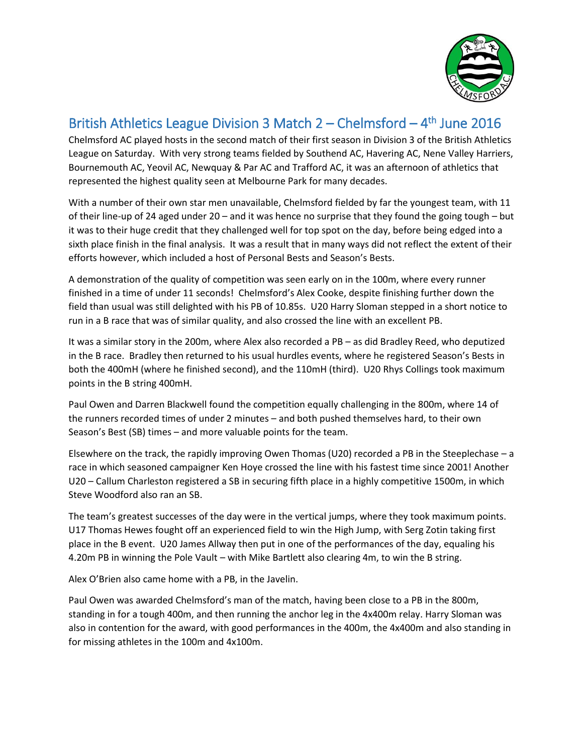

## British Athletics League Division 3 Match 2 – Chelmsford – 4<sup>th</sup> June 2016

Chelmsford AC played hosts in the second match of their first season in Division 3 of the British Athletics League on Saturday. With very strong teams fielded by Southend AC, Havering AC, Nene Valley Harriers, Bournemouth AC, Yeovil AC, Newquay & Par AC and Trafford AC, it was an afternoon of athletics that represented the highest quality seen at Melbourne Park for many decades.

With a number of their own star men unavailable, Chelmsford fielded by far the youngest team, with 11 of their line-up of 24 aged under 20 – and it was hence no surprise that they found the going tough – but it was to their huge credit that they challenged well for top spot on the day, before being edged into a sixth place finish in the final analysis. It was a result that in many ways did not reflect the extent of their efforts however, which included a host of Personal Bests and Season's Bests.

A demonstration of the quality of competition was seen early on in the 100m, where every runner finished in a time of under 11 seconds! Chelmsford's Alex Cooke, despite finishing further down the field than usual was still delighted with his PB of 10.85s. U20 Harry Sloman stepped in a short notice to run in a B race that was of similar quality, and also crossed the line with an excellent PB.

It was a similar story in the 200m, where Alex also recorded a PB – as did Bradley Reed, who deputized in the B race. Bradley then returned to his usual hurdles events, where he registered Season's Bests in both the 400mH (where he finished second), and the 110mH (third). U20 Rhys Collings took maximum points in the B string 400mH.

Paul Owen and Darren Blackwell found the competition equally challenging in the 800m, where 14 of the runners recorded times of under 2 minutes – and both pushed themselves hard, to their own Season's Best (SB) times – and more valuable points for the team.

Elsewhere on the track, the rapidly improving Owen Thomas (U20) recorded a PB in the Steeplechase – a race in which seasoned campaigner Ken Hoye crossed the line with his fastest time since 2001! Another U20 – Callum Charleston registered a SB in securing fifth place in a highly competitive 1500m, in which Steve Woodford also ran an SB.

The team's greatest successes of the day were in the vertical jumps, where they took maximum points. U17 Thomas Hewes fought off an experienced field to win the High Jump, with Serg Zotin taking first place in the B event. U20 James Allway then put in one of the performances of the day, equaling his 4.20m PB in winning the Pole Vault – with Mike Bartlett also clearing 4m, to win the B string.

Alex O'Brien also came home with a PB, in the Javelin.

Paul Owen was awarded Chelmsford's man of the match, having been close to a PB in the 800m, standing in for a tough 400m, and then running the anchor leg in the 4x400m relay. Harry Sloman was also in contention for the award, with good performances in the 400m, the 4x400m and also standing in for missing athletes in the 100m and 4x100m.